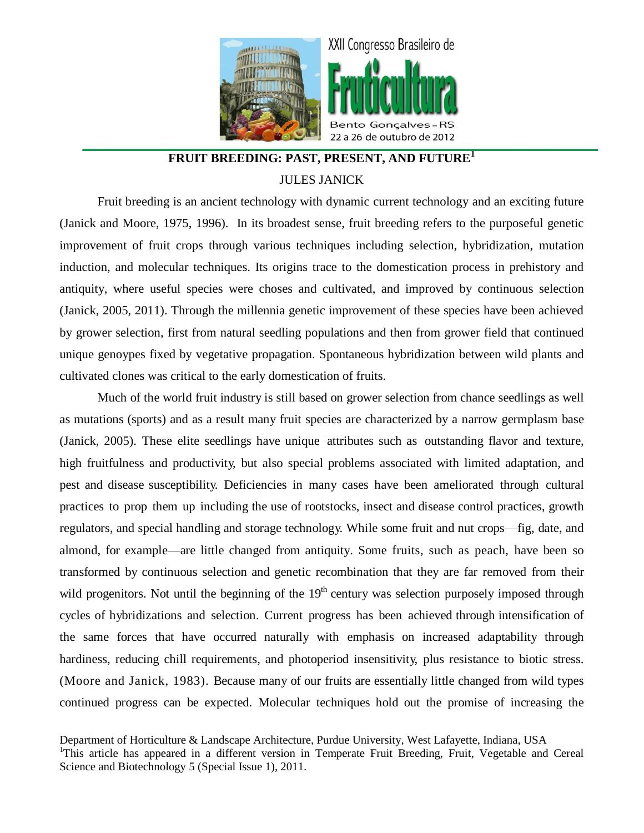

## **FRUIT BREEDING: PAST, PRESENT, AND FUTURE<sup>1</sup>** JULES JANICK

Fruit breeding is an ancient technology with dynamic current technology and an exciting future (Janick and Moore, 1975, 1996). In its broadest sense, fruit breeding refers to the purposeful genetic improvement of fruit crops through various techniques including selection, hybridization, mutation induction, and molecular techniques. Its origins trace to the domestication process in prehistory and antiquity, where useful species were choses and cultivated, and improved by continuous selection (Janick, 2005, 2011). Through the millennia genetic improvement of these species have been achieved by grower selection, first from natural seedling populations and then from grower field that continued unique genoypes fixed by vegetative propagation. Spontaneous hybridization between wild plants and cultivated clones was critical to the early domestication of fruits.

Much of the world fruit industry is still based on grower selection from chance seedlings as well as mutations (sports) and as a result many fruit species are characterized by a narrow germplasm base (Janick, 2005). These elite seedlings have unique attributes such as outstanding flavor and texture, high fruitfulness and productivity, but also special problems associated with limited adaptation, and pest and disease susceptibility. Deficiencies in many cases have been ameliorated through cultural practices to prop them up including the use of rootstocks, insect and disease control practices, growth regulators, and special handling and storage technology. While some fruit and nut crops—fig, date, and almond, for example—are little changed from antiquity. Some fruits, such as peach, have been so transformed by continuous selection and genetic recombination that they are far removed from their wild progenitors. Not until the beginning of the 19<sup>th</sup> century was selection purposely imposed through cycles of hybridizations and selection. Current progress has been achieved through intensification of the same forces that have occurred naturally with emphasis on increased adaptability through hardiness, reducing chill requirements, and photoperiod insensitivity, plus resistance to biotic stress. (Moore and Janick, 1983). Because many of our fruits are essentially little changed from wild types continued progress can be expected. Molecular techniques hold out the promise of increasing the

Department of Horticulture & Landscape Architecture, Purdue University, West Lafayette, Indiana, USA <sup>1</sup>This article has appeared in a different version in Temperate Fruit Breeding, Fruit, Vegetable and Cereal Science and Biotechnology 5 (Special Issue 1), 2011.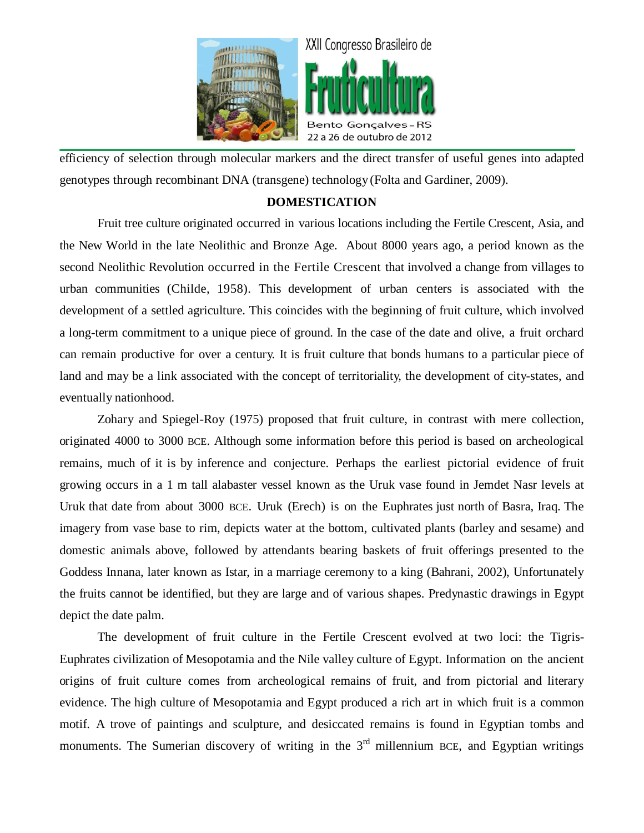

efficiency of selection through molecular markers and the direct transfer of useful genes into adapted genotypes through recombinant DNA (transgene) technology (Folta and Gardiner, 2009).

### **DOMESTICATION**

Fruit tree culture originated occurred in various locations including the Fertile Crescent, Asia, and the New World in the late Neolithic and Bronze Age. About 8000 years ago, a period known as the second Neolithic Revolution occurred in the Fertile Crescent that involved a change from villages to urban communities (Childe, 1958). This development of urban centers is associated with the development of a settled agriculture. This coincides with the beginning of fruit culture, which involved a long-term commitment to a unique piece of ground. In the case of the date and olive, a fruit orchard can remain productive for over a century. It is fruit culture that bonds humans to a particular piece of land and may be a link associated with the concept of territoriality, the development of city-states, and eventually nationhood.

Zohary and Spiegel-Roy (1975) proposed that fruit culture, in contrast with mere collection, originated 4000 to 3000 BCE. Although some information before this period is based on archeological remains, much of it is by inference and conjecture. Perhaps the earliest pictorial evidence of fruit growing occurs in a 1 m tall alabaster vessel known as the Uruk vase found in Jemdet Nasr levels at Uruk that date from about 3000 BCE. Uruk (Erech) is on the Euphrates just north of Basra, Iraq. The imagery from vase base to rim, depicts water at the bottom, cultivated plants (barley and sesame) and domestic animals above, followed by attendants bearing baskets of fruit offerings presented to the Goddess Innana, later known as Istar, in a marriage ceremony to a king (Bahrani, 2002), Unfortunately the fruits cannot be identified, but they are large and of various shapes. Predynastic drawings in Egypt depict the date palm.

The development of fruit culture in the Fertile Crescent evolved at two loci: the Tigris-Euphrates civilization of Mesopotamia and the Nile valley culture of Egypt. Information on the ancient origins of fruit culture comes from archeological remains of fruit, and from pictorial and literary evidence. The high culture of Mesopotamia and Egypt produced a rich art in which fruit is a common motif. A trove of paintings and sculpture, and desiccated remains is found in Egyptian tombs and monuments. The Sumerian discovery of writing in the  $3<sup>rd</sup>$  millennium BCE, and Egyptian writings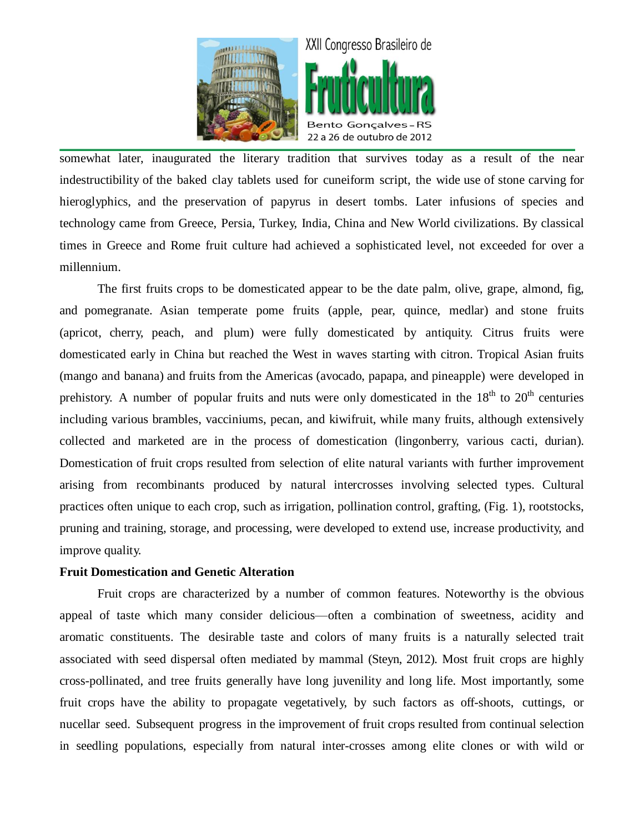

somewhat later, inaugurated the literary tradition that survives today as a result of the near indestructibility of the baked clay tablets used for cuneiform script, the wide use of stone carving for hieroglyphics, and the preservation of papyrus in desert tombs. Later infusions of species and technology came from Greece, Persia, Turkey, India, China and New World civilizations. By classical times in Greece and Rome fruit culture had achieved a sophisticated level, not exceeded for over a millennium.

The first fruits crops to be domesticated appear to be the date palm, olive, grape, almond, fig, and pomegranate. Asian temperate pome fruits (apple, pear, quince, medlar) and stone fruits (apricot, cherry, peach, and plum) were fully domesticated by antiquity. Citrus fruits were domesticated early in China but reached the West in waves starting with citron. Tropical Asian fruits (mango and banana) and fruits from the Americas (avocado, papapa, and pineapple) were developed in prehistory. A number of popular fruits and nuts were only domesticated in the  $18<sup>th</sup>$  to  $20<sup>th</sup>$  centuries including various brambles, vacciniums, pecan, and kiwifruit, while many fruits, although extensively collected and marketed are in the process of domestication (lingonberry, various cacti, durian). Domestication of fruit crops resulted from selection of elite natural variants with further improvement arising from recombinants produced by natural intercrosses involving selected types. Cultural practices often unique to each crop, such as irrigation, pollination control, grafting, (Fig. 1), rootstocks, pruning and training, storage, and processing, were developed to extend use, increase productivity, and improve quality.

### **Fruit Domestication and Genetic Alteration**

Fruit crops are characterized by a number of common features. Noteworthy is the obvious appeal of taste which many consider delicious—often a combination of sweetness, acidity and aromatic constituents. The desirable taste and colors of many fruits is a naturally selected trait associated with seed dispersal often mediated by mammal (Steyn, 2012). Most fruit crops are highly cross-pollinated, and tree fruits generally have long juvenility and long life. Most importantly, some fruit crops have the ability to propagate vegetatively, by such factors as off-shoots, cuttings, or nucellar seed. Subsequent progress in the improvement of fruit crops resulted from continual selection in seedling populations, especially from natural inter-crosses among elite clones or with wild or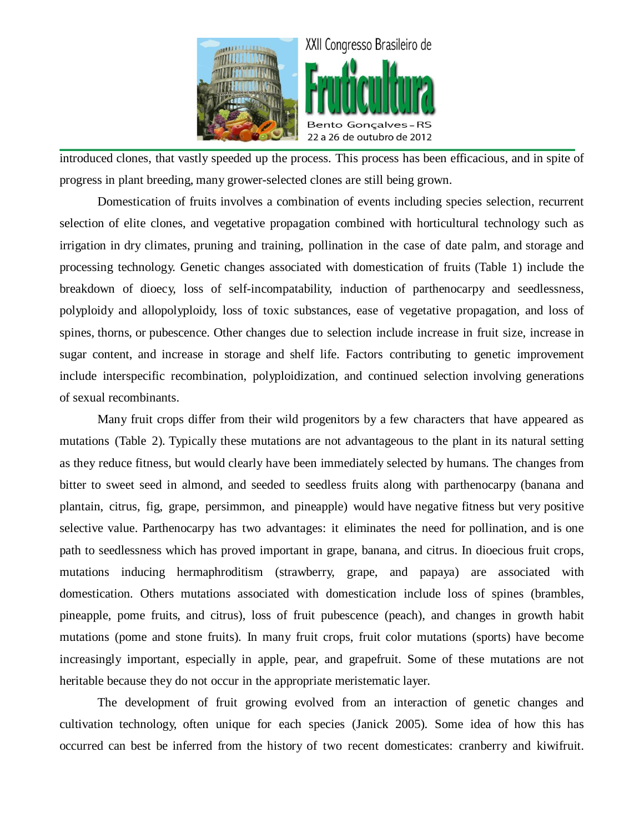

introduced clones, that vastly speeded up the process. This process has been efficacious, and in spite of progress in plant breeding, many grower-selected clones are still being grown.

Domestication of fruits involves a combination of events including species selection, recurrent selection of elite clones, and vegetative propagation combined with horticultural technology such as irrigation in dry climates, pruning and training, pollination in the case of date palm, and storage and processing technology. Genetic changes associated with domestication of fruits (Table 1) include the breakdown of dioecy, loss of self-incompatability, induction of parthenocarpy and seedlessness, polyploidy and allopolyploidy, loss of toxic substances, ease of vegetative propagation, and loss of spines, thorns, or pubescence. Other changes due to selection include increase in fruit size, increase in sugar content, and increase in storage and shelf life. Factors contributing to genetic improvement include interspecific recombination, polyploidization, and continued selection involving generations of sexual recombinants.

Many fruit crops differ from their wild progenitors by a few characters that have appeared as mutations (Table 2). Typically these mutations are not advantageous to the plant in its natural setting as they reduce fitness, but would clearly have been immediately selected by humans. The changes from bitter to sweet seed in almond, and seeded to seedless fruits along with parthenocarpy (banana and plantain, citrus, fig, grape, persimmon, and pineapple) would have negative fitness but very positive selective value. Parthenocarpy has two advantages: it eliminates the need for pollination, and is one path to seedlessness which has proved important in grape, banana, and citrus. In dioecious fruit crops, mutations inducing hermaphroditism (strawberry, grape, and papaya) are associated with domestication. Others mutations associated with domestication include loss of spines (brambles, pineapple, pome fruits, and citrus), loss of fruit pubescence (peach), and changes in growth habit mutations (pome and stone fruits). In many fruit crops, fruit color mutations (sports) have become increasingly important, especially in apple, pear, and grapefruit. Some of these mutations are not heritable because they do not occur in the appropriate meristematic layer.

The development of fruit growing evolved from an interaction of genetic changes and cultivation technology, often unique for each species (Janick 2005). Some idea of how this has occurred can best be inferred from the history of two recent domesticates: cranberry and kiwifruit.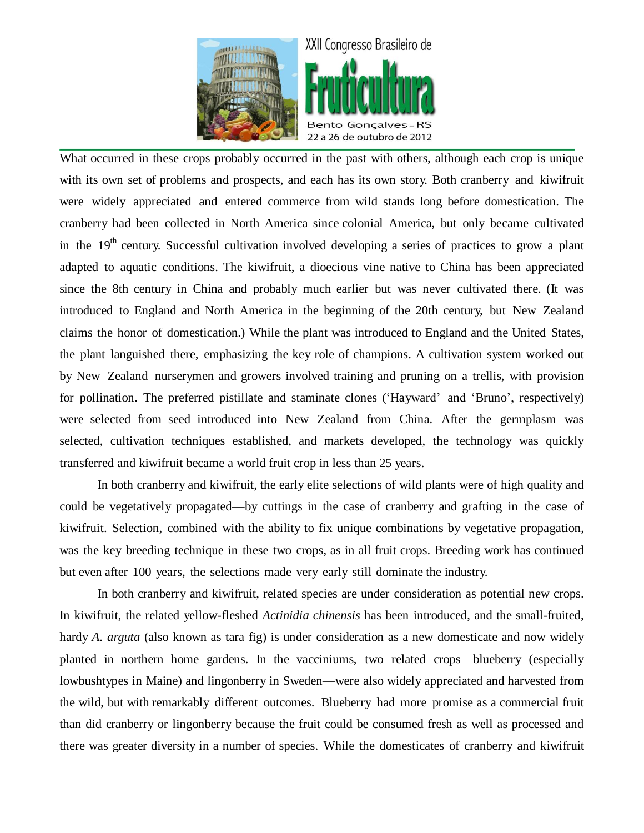

What occurred in these crops probably occurred in the past with others, although each crop is unique with its own set of problems and prospects, and each has its own story. Both cranberry and kiwifruit were widely appreciated and entered commerce from wild stands long before domestication. The cranberry had been collected in North America since colonial America, but only became cultivated in the 19<sup>th</sup> century. Successful cultivation involved developing a series of practices to grow a plant adapted to aquatic conditions. The kiwifruit, a dioecious vine native to China has been appreciated since the 8th century in China and probably much earlier but was never cultivated there. (It was introduced to England and North America in the beginning of the 20th century, but New Zealand claims the honor of domestication.) While the plant was introduced to England and the United States, the plant languished there, emphasizing the key role of champions. A cultivation system worked out by New Zealand nurserymen and growers involved training and pruning on a trellis, with provision for pollination. The preferred pistillate and staminate clones ('Hayward' and 'Bruno', respectively) were selected from seed introduced into New Zealand from China. After the germplasm was selected, cultivation techniques established, and markets developed, the technology was quickly transferred and kiwifruit became a world fruit crop in less than 25 years.

In both cranberry and kiwifruit, the early elite selections of wild plants were of high quality and could be vegetatively propagated—by cuttings in the case of cranberry and grafting in the case of kiwifruit. Selection, combined with the ability to fix unique combinations by vegetative propagation, was the key breeding technique in these two crops, as in all fruit crops. Breeding work has continued but even after 100 years, the selections made very early still dominate the industry.

In both cranberry and kiwifruit, related species are under consideration as potential new crops. In kiwifruit, the related yellow-fleshed *Actinidia chinensis* has been introduced, and the small-fruited, hardy *A. arguta* (also known as tara fig) is under consideration as a new domesticate and now widely planted in northern home gardens. In the vacciniums, two related crops—blueberry (especially lowbushtypes in Maine) and lingonberry in Sweden—were also widely appreciated and harvested from the wild, but with remarkably different outcomes. Blueberry had more promise as a commercial fruit than did cranberry or lingonberry because the fruit could be consumed fresh as well as processed and there was greater diversity in a number of species. While the domesticates of cranberry and kiwifruit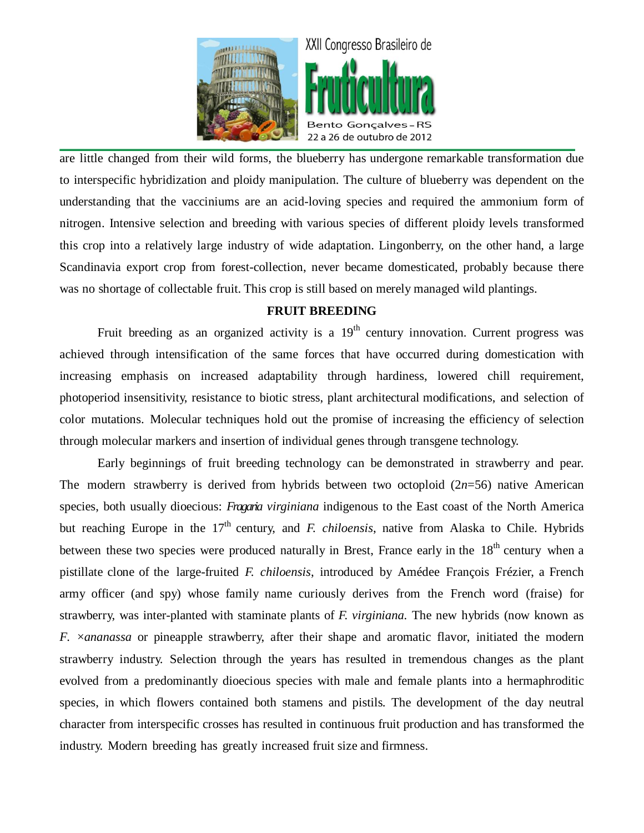

are little changed from their wild forms, the blueberry has undergone remarkable transformation due to interspecific hybridization and ploidy manipulation. The culture of blueberry was dependent on the understanding that the vacciniums are an acid-loving species and required the ammonium form of nitrogen. Intensive selection and breeding with various species of different ploidy levels transformed this crop into a relatively large industry of wide adaptation. Lingonberry, on the other hand, a large Scandinavia export crop from forest-collection, never became domesticated, probably because there was no shortage of collectable fruit. This crop is still based on merely managed wild plantings.

### **FRUIT BREEDING**

Fruit breeding as an organized activity is a  $19<sup>th</sup>$  century innovation. Current progress was achieved through intensification of the same forces that have occurred during domestication with increasing emphasis on increased adaptability through hardiness, lowered chill requirement, photoperiod insensitivity, resistance to biotic stress, plant architectural modifications, and selection of color mutations. Molecular techniques hold out the promise of increasing the efficiency of selection through molecular markers and insertion of individual genes through transgene technology.

Early beginnings of fruit breeding technology can be demonstrated in strawberry and pear. The modern strawberry is derived from hybrids between two octoploid (2*n*=56) native American species, both usually dioecious: *Fragaria virginiana* indigenous to the East coast of the North America but reaching Europe in the 17<sup>th</sup> century, and *F. chiloensis*, native from Alaska to Chile. Hybrids between these two species were produced naturally in Brest, France early in the 18<sup>th</sup> century when a pistillate clone of the large-fruited *F. chiloensis*, introduced by Amédee François Frézier, a French army officer (and spy) whose family name curiously derives from the French word (fraise) for strawberry, was inter-planted with staminate plants of *F. virginiana.* The new hybrids (now known as *F.*  $\times$ *ananassa* or pineapple strawberry, after their shape and aromatic flavor, initiated the modern strawberry industry. Selection through the years has resulted in tremendous changes as the plant evolved from a predominantly dioecious species with male and female plants into a hermaphroditic species, in which flowers contained both stamens and pistils. The development of the day neutral character from interspecific crosses has resulted in continuous fruit production and has transformed the industry. Modern breeding has greatly increased fruit size and firmness.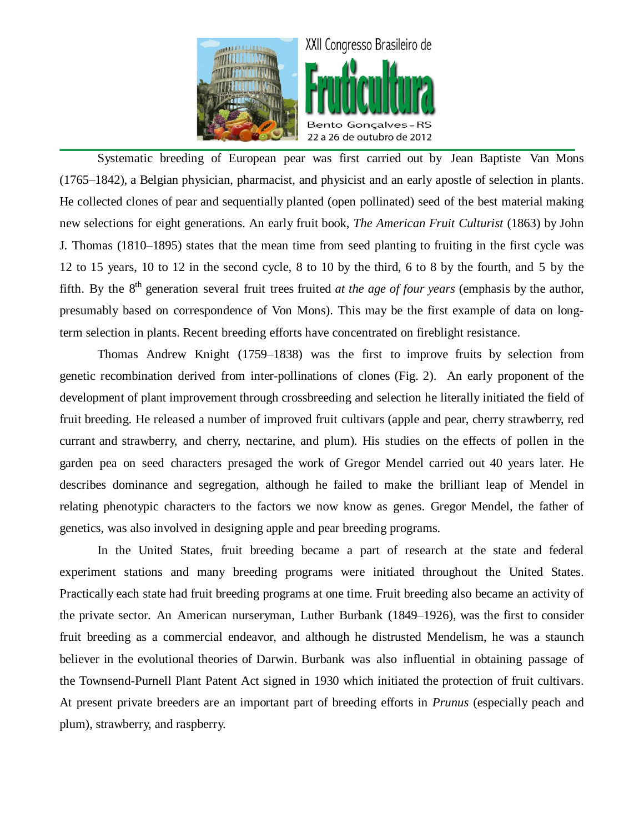

Systematic breeding of European pear was first carried out by Jean Baptiste Van Mons (1765–1842), a Belgian physician, pharmacist, and physicist and an early apostle of selection in plants. He collected clones of pear and sequentially planted (open pollinated) seed of the best material making new selections for eight generations. An early fruit book, *The American Fruit Culturist* (1863) by John J. Thomas (1810–1895) states that the mean time from seed planting to fruiting in the first cycle was 12 to 15 years, 10 to 12 in the second cycle, 8 to 10 by the third, 6 to 8 by the fourth, and 5 by the fifth. By the 8<sup>th</sup> generation several fruit trees fruited *at the age of four years* (emphasis by the author, presumably based on correspondence of Von Mons). This may be the first example of data on longterm selection in plants. Recent breeding efforts have concentrated on fireblight resistance.

Thomas Andrew Knight (1759–1838) was the first to improve fruits by selection from genetic recombination derived from inter-pollinations of clones (Fig. 2). An early proponent of the development of plant improvement through crossbreeding and selection he literally initiated the field of fruit breeding. He released a number of improved fruit cultivars (apple and pear, cherry strawberry, red currant and strawberry, and cherry, nectarine, and plum). His studies on the effects of pollen in the garden pea on seed characters presaged the work of Gregor Mendel carried out 40 years later. He describes dominance and segregation, although he failed to make the brilliant leap of Mendel in relating phenotypic characters to the factors we now know as genes. Gregor Mendel, the father of genetics, was also involved in designing apple and pear breeding programs.

In the United States, fruit breeding became a part of research at the state and federal experiment stations and many breeding programs were initiated throughout the United States. Practically each state had fruit breeding programs at one time. Fruit breeding also became an activity of the private sector. An American nurseryman, Luther Burbank (1849–1926), was the first to consider fruit breeding as a commercial endeavor, and although he distrusted Mendelism, he was a staunch believer in the evolutional theories of Darwin. Burbank was also influential in obtaining passage of the Townsend-Purnell Plant Patent Act signed in 1930 which initiated the protection of fruit cultivars. At present private breeders are an important part of breeding efforts in *Prunus* (especially peach and plum), strawberry, and raspberry.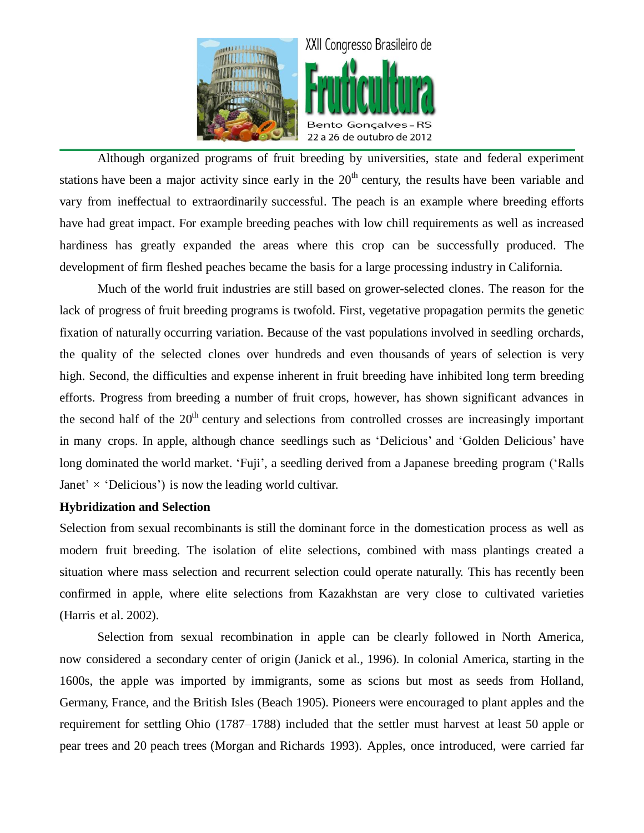

Although organized programs of fruit breeding by universities, state and federal experiment stations have been a major activity since early in the  $20<sup>th</sup>$  century, the results have been variable and vary from ineffectual to extraordinarily successful. The peach is an example where breeding efforts have had great impact. For example breeding peaches with low chill requirements as well as increased hardiness has greatly expanded the areas where this crop can be successfully produced. The development of firm fleshed peaches became the basis for a large processing industry in California.

Much of the world fruit industries are still based on grower-selected clones. The reason for the lack of progress of fruit breeding programs is twofold. First, vegetative propagation permits the genetic fixation of naturally occurring variation. Because of the vast populations involved in seedling orchards, the quality of the selected clones over hundreds and even thousands of years of selection is very high. Second, the difficulties and expense inherent in fruit breeding have inhibited long term breeding efforts. Progress from breeding a number of fruit crops, however, has shown significant advances in the second half of the  $20<sup>th</sup>$  century and selections from controlled crosses are increasingly important in many crops. In apple, although chance seedlings such as 'Delicious' and 'Golden Delicious' have long dominated the world market. 'Fuji', a seedling derived from a Japanese breeding program ('Ralls Janet'  $\times$  'Delicious') is now the leading world cultivar.

### **Hybridization and Selection**

Selection from sexual recombinants is still the dominant force in the domestication process as well as modern fruit breeding. The isolation of elite selections, combined with mass plantings created a situation where mass selection and recurrent selection could operate naturally. This has recently been confirmed in apple, where elite selections from Kazakhstan are very close to cultivated varieties (Harris et al. 2002).

Selection from sexual recombination in apple can be clearly followed in North America, now considered a secondary center of origin (Janick et al., 1996). In colonial America, starting in the 1600s, the apple was imported by immigrants, some as scions but most as seeds from Holland, Germany, France, and the British Isles (Beach 1905). Pioneers were encouraged to plant apples and the requirement for settling Ohio (1787–1788) included that the settler must harvest at least 50 apple or pear trees and 20 peach trees (Morgan and Richards 1993). Apples, once introduced, were carried far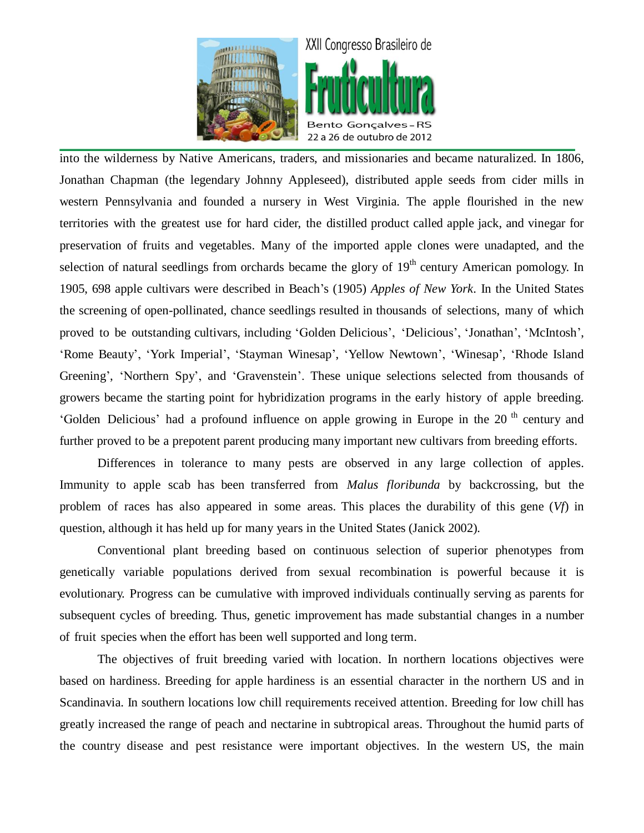

into the wilderness by Native Americans, traders, and missionaries and became naturalized. In 1806, Jonathan Chapman (the legendary Johnny Appleseed), distributed apple seeds from cider mills in western Pennsylvania and founded a nursery in West Virginia. The apple flourished in the new territories with the greatest use for hard cider, the distilled product called apple jack, and vinegar for preservation of fruits and vegetables. Many of the imported apple clones were unadapted, and the selection of natural seedlings from orchards became the glory of  $19<sup>th</sup>$  century American pomology. In 1905, 698 apple cultivars were described in Beach's (1905) *Apples of New York*. In the United States the screening of open-pollinated, chance seedlings resulted in thousands of selections, many of which proved to be outstanding cultivars, including 'Golden Delicious', 'Delicious', 'Jonathan', 'McIntosh', 'Rome Beauty', 'York Imperial', 'Stayman Winesap', 'Yellow Newtown', 'Winesap', 'Rhode Island Greening', 'Northern Spy', and 'Gravenstein'. These unique selections selected from thousands of growers became the starting point for hybridization programs in the early history of apple breeding. 'Golden Delicious' had a profound influence on apple growing in Europe in the 20<sup>th</sup> century and further proved to be a prepotent parent producing many important new cultivars from breeding efforts.

Differences in tolerance to many pests are observed in any large collection of apples. Immunity to apple scab has been transferred from *Malus floribunda* by backcrossing, but the problem of races has also appeared in some areas. This places the durability of this gene (*Vf*) in question, although it has held up for many years in the United States (Janick 2002).

Conventional plant breeding based on continuous selection of superior phenotypes from genetically variable populations derived from sexual recombination is powerful because it is evolutionary. Progress can be cumulative with improved individuals continually serving as parents for subsequent cycles of breeding. Thus, genetic improvement has made substantial changes in a number of fruit species when the effort has been well supported and long term.

The objectives of fruit breeding varied with location. In northern locations objectives were based on hardiness. Breeding for apple hardiness is an essential character in the northern US and in Scandinavia. In southern locations low chill requirements received attention. Breeding for low chill has greatly increased the range of peach and nectarine in subtropical areas. Throughout the humid parts of the country disease and pest resistance were important objectives. In the western US, the main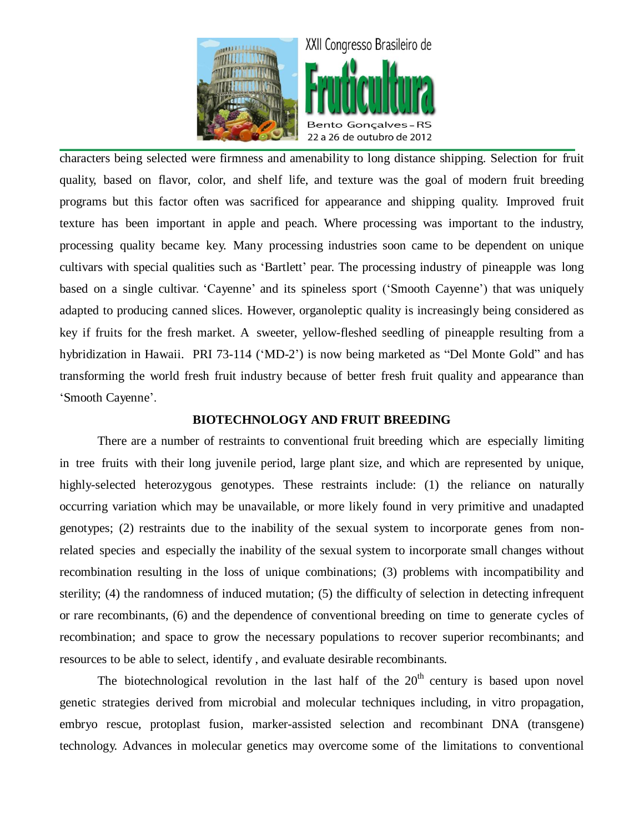

characters being selected were firmness and amenability to long distance shipping. Selection for fruit quality, based on flavor, color, and shelf life, and texture was the goal of modern fruit breeding programs but this factor often was sacrificed for appearance and shipping quality. Improved fruit texture has been important in apple and peach. Where processing was important to the industry, processing quality became key. Many processing industries soon came to be dependent on unique cultivars with special qualities such as 'Bartlett' pear. The processing industry of pineapple was long based on a single cultivar. 'Cayenne' and its spineless sport ('Smooth Cayenne') that was uniquely adapted to producing canned slices. However, organoleptic quality is increasingly being considered as key if fruits for the fresh market. A sweeter, yellow-fleshed seedling of pineapple resulting from a hybridization in Hawaii. PRI 73-114 ('MD-2') is now being marketed as "Del Monte Gold" and has transforming the world fresh fruit industry because of better fresh fruit quality and appearance than 'Smooth Cayenne'.

#### **BIOTECHNOLOGY AND FRUIT BREEDING**

There are a number of restraints to conventional fruit breeding which are especially limiting in tree fruits with their long juvenile period, large plant size, and which are represented by unique, highly-selected heterozygous genotypes. These restraints include: (1) the reliance on naturally occurring variation which may be unavailable, or more likely found in very primitive and unadapted genotypes; (2) restraints due to the inability of the sexual system to incorporate genes from nonrelated species and especially the inability of the sexual system to incorporate small changes without recombination resulting in the loss of unique combinations; (3) problems with incompatibility and sterility; (4) the randomness of induced mutation; (5) the difficulty of selection in detecting infrequent or rare recombinants, (6) and the dependence of conventional breeding on time to generate cycles of recombination; and space to grow the necessary populations to recover superior recombinants; and resources to be able to select, identify , and evaluate desirable recombinants.

The biotechnological revolution in the last half of the  $20<sup>th</sup>$  century is based upon novel genetic strategies derived from microbial and molecular techniques including, in vitro propagation, embryo rescue, protoplast fusion, marker-assisted selection and recombinant DNA (transgene) technology. Advances in molecular genetics may overcome some of the limitations to conventional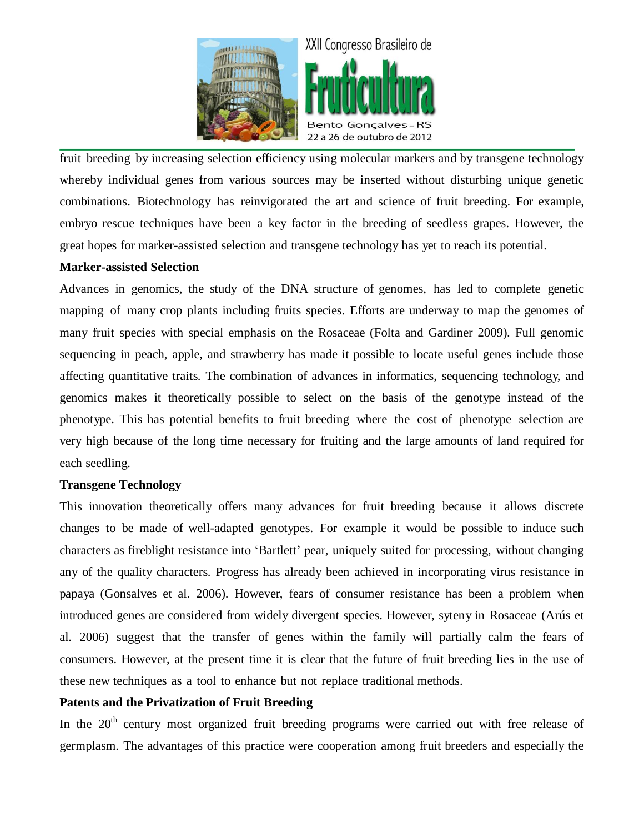

fruit breeding by increasing selection efficiency using molecular markers and by transgene technology whereby individual genes from various sources may be inserted without disturbing unique genetic combinations. Biotechnology has reinvigorated the art and science of fruit breeding. For example, embryo rescue techniques have been a key factor in the breeding of seedless grapes. However, the great hopes for marker-assisted selection and transgene technology has yet to reach its potential.

### **Marker-assisted Selection**

Advances in genomics, the study of the DNA structure of genomes, has led to complete genetic mapping of many crop plants including fruits species. Efforts are underway to map the genomes of many fruit species with special emphasis on the Rosaceae (Folta and Gardiner 2009). Full genomic sequencing in peach, apple, and strawberry has made it possible to locate useful genes include those affecting quantitative traits. The combination of advances in informatics, sequencing technology, and genomics makes it theoretically possible to select on the basis of the genotype instead of the phenotype. This has potential benefits to fruit breeding where the cost of phenotype selection are very high because of the long time necessary for fruiting and the large amounts of land required for each seedling.

### **Transgene Technology**

This innovation theoretically offers many advances for fruit breeding because it allows discrete changes to be made of well-adapted genotypes. For example it would be possible to induce such characters as fireblight resistance into 'Bartlett' pear, uniquely suited for processing, without changing any of the quality characters. Progress has already been achieved in incorporating virus resistance in papaya (Gonsalves et al. 2006). However, fears of consumer resistance has been a problem when introduced genes are considered from widely divergent species. However, syteny in Rosaceae (Arús et al. 2006) suggest that the transfer of genes within the family will partially calm the fears of consumers. However, at the present time it is clear that the future of fruit breeding lies in the use of these new techniques as a tool to enhance but not replace traditional methods.

### **Patents and the Privatization of Fruit Breeding**

In the  $20<sup>th</sup>$  century most organized fruit breeding programs were carried out with free release of germplasm. The advantages of this practice were cooperation among fruit breeders and especially the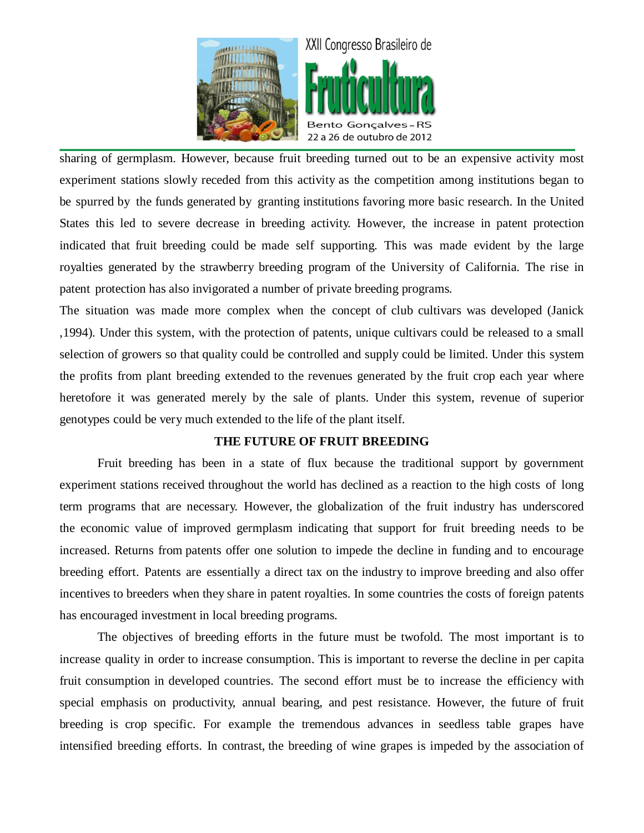

sharing of germplasm. However, because fruit breeding turned out to be an expensive activity most experiment stations slowly receded from this activity as the competition among institutions began to be spurred by the funds generated by granting institutions favoring more basic research. In the United States this led to severe decrease in breeding activity. However, the increase in patent protection indicated that fruit breeding could be made self supporting. This was made evident by the large royalties generated by the strawberry breeding program of the University of California. The rise in patent protection has also invigorated a number of private breeding programs.

The situation was made more complex when the concept of club cultivars was developed (Janick ,1994). Under this system, with the protection of patents, unique cultivars could be released to a small selection of growers so that quality could be controlled and supply could be limited. Under this system the profits from plant breeding extended to the revenues generated by the fruit crop each year where heretofore it was generated merely by the sale of plants. Under this system, revenue of superior genotypes could be very much extended to the life of the plant itself.

### **THE FUTURE OF FRUIT BREEDING**

Fruit breeding has been in a state of flux because the traditional support by government experiment stations received throughout the world has declined as a reaction to the high costs of long term programs that are necessary. However, the globalization of the fruit industry has underscored the economic value of improved germplasm indicating that support for fruit breeding needs to be increased. Returns from patents offer one solution to impede the decline in funding and to encourage breeding effort. Patents are essentially a direct tax on the industry to improve breeding and also offer incentives to breeders when they share in patent royalties. In some countries the costs of foreign patents has encouraged investment in local breeding programs.

The objectives of breeding efforts in the future must be twofold. The most important is to increase quality in order to increase consumption. This is important to reverse the decline in per capita fruit consumption in developed countries. The second effort must be to increase the efficiency with special emphasis on productivity, annual bearing, and pest resistance. However, the future of fruit breeding is crop specific. For example the tremendous advances in seedless table grapes have intensified breeding efforts. In contrast, the breeding of wine grapes is impeded by the association of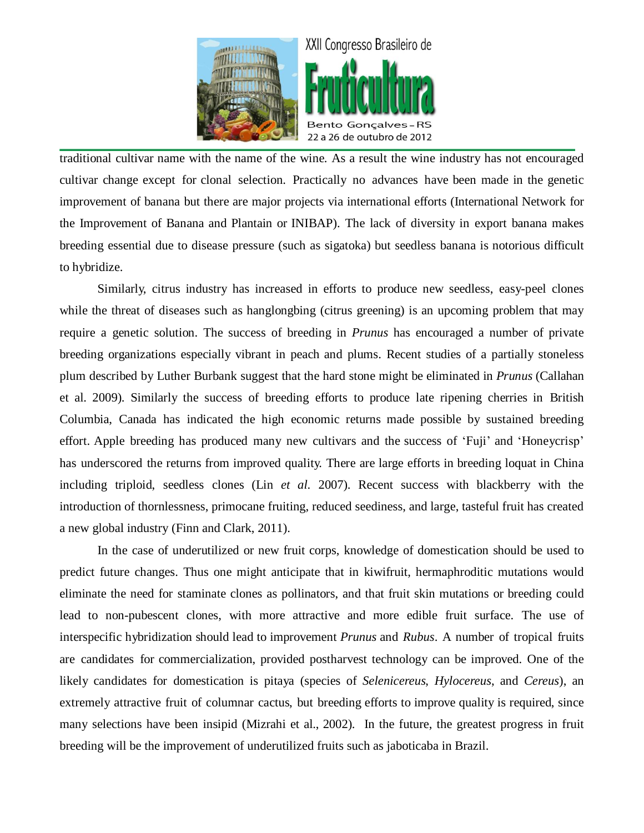

traditional cultivar name with the name of the wine. As a result the wine industry has not encouraged cultivar change except for clonal selection. Practically no advances have been made in the genetic improvement of banana but there are major projects via international efforts (International Network for the Improvement of Banana and Plantain or INIBAP). The lack of diversity in export banana makes breeding essential due to disease pressure (such as sigatoka) but seedless banana is notorious difficult to hybridize.

Similarly, citrus industry has increased in efforts to produce new seedless, easy-peel clones while the threat of diseases such as hanglongbing (citrus greening) is an upcoming problem that may require a genetic solution. The success of breeding in *Prunus* has encouraged a number of private breeding organizations especially vibrant in peach and plums. Recent studies of a partially stoneless plum described by Luther Burbank suggest that the hard stone might be eliminated in *Prunus* (Callahan et al. 2009). Similarly the success of breeding efforts to produce late ripening cherries in British Columbia, Canada has indicated the high economic returns made possible by sustained breeding effort. Apple breeding has produced many new cultivars and the success of 'Fuji' and 'Honeycrisp' has underscored the returns from improved quality. There are large efforts in breeding loquat in China including triploid, seedless clones (Lin *et al*. 2007). Recent success with blackberry with the introduction of thornlessness, primocane fruiting, reduced seediness, and large, tasteful fruit has created a new global industry (Finn and Clark, 2011).

In the case of underutilized or new fruit corps, knowledge of domestication should be used to predict future changes. Thus one might anticipate that in kiwifruit, hermaphroditic mutations would eliminate the need for staminate clones as pollinators, and that fruit skin mutations or breeding could lead to non-pubescent clones, with more attractive and more edible fruit surface. The use of interspecific hybridization should lead to improvement *Prunus* and *Rubus*. A number of tropical fruits are candidates for commercialization, provided postharvest technology can be improved. One of the likely candidates for domestication is pitaya (species of *Selenicereus*, *Hylocereus*, and *Cereus*), an extremely attractive fruit of columnar cactus, but breeding efforts to improve quality is required, since many selections have been insipid (Mizrahi et al., 2002). In the future, the greatest progress in fruit breeding will be the improvement of underutilized fruits such as jaboticaba in Brazil.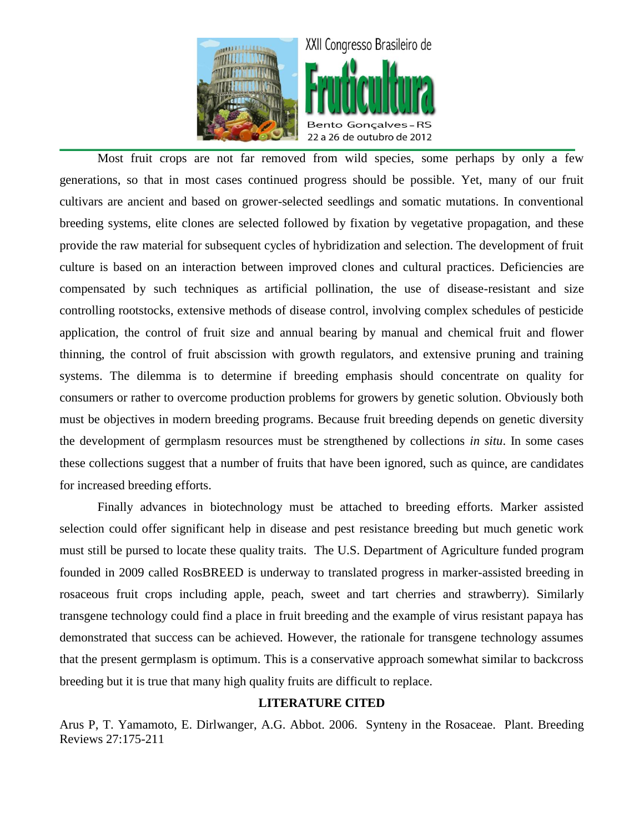

Most fruit crops are not far removed from wild species, some perhaps by only a few generations, so that in most cases continued progress should be possible. Yet, many of our fruit cultivars are ancient and based on grower-selected seedlings and somatic mutations. In conventional breeding systems, elite clones are selected followed by fixation by vegetative propagation, and these provide the raw material for subsequent cycles of hybridization and selection. The development of fruit culture is based on an interaction between improved clones and cultural practices. Deficiencies are compensated by such techniques as artificial pollination, the use of disease-resistant and size controlling rootstocks, extensive methods of disease control, involving complex schedules of pesticide application, the control of fruit size and annual bearing by manual and chemical fruit and flower thinning, the control of fruit abscission with growth regulators, and extensive pruning and training systems. The dilemma is to determine if breeding emphasis should concentrate on quality for consumers or rather to overcome production problems for growers by genetic solution. Obviously both must be objectives in modern breeding programs. Because fruit breeding depends on genetic diversity the development of germplasm resources must be strengthened by collections *in situ*. In some cases these collections suggest that a number of fruits that have been ignored, such as quince, are candidates for increased breeding efforts.

Finally advances in biotechnology must be attached to breeding efforts. Marker assisted selection could offer significant help in disease and pest resistance breeding but much genetic work must still be pursed to locate these quality traits. The U.S. Department of Agriculture funded program founded in 2009 called RosBREED is underway to translated progress in marker-assisted breeding in rosaceous fruit crops including apple, peach, sweet and tart cherries and strawberry). Similarly transgene technology could find a place in fruit breeding and the example of virus resistant papaya has demonstrated that success can be achieved. However, the rationale for transgene technology assumes that the present germplasm is optimum. This is a conservative approach somewhat similar to backcross breeding but it is true that many high quality fruits are difficult to replace.

## **LITERATURE CITED**

Arus P, T. Yamamoto, E. Dirlwanger, A.G. Abbot. 2006. Synteny in the Rosaceae. Plant. Breeding Reviews 27:175-211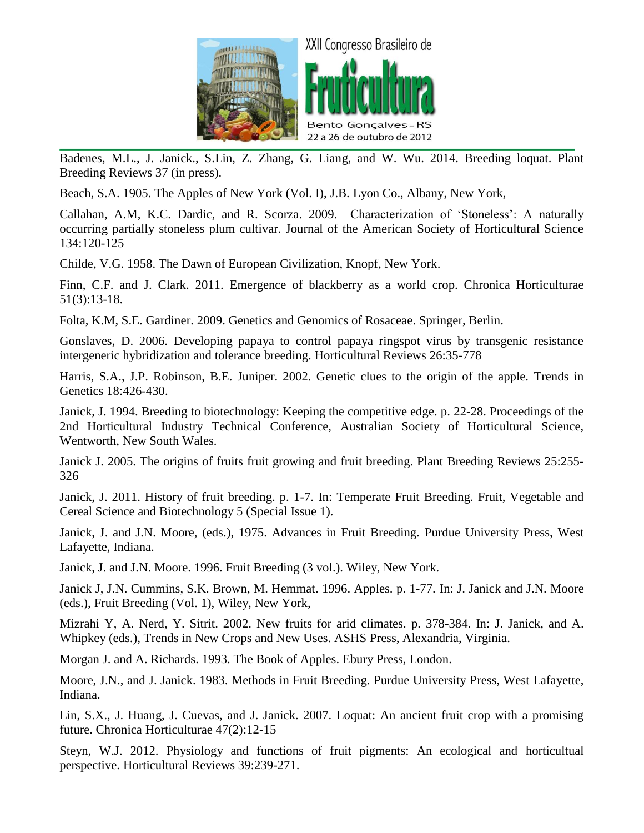

Badenes, M.L., J. Janick., S.Lin, Z. Zhang, G. Liang, and W. Wu. 2014. Breeding loquat. Plant Breeding Reviews 37 (in press).

Beach, S.A. 1905. The Apples of New York (Vol. I), J.B. Lyon Co., Albany, New York,

Callahan, A.M, K.C. Dardic, and R. Scorza. 2009. Characterization of 'Stoneless': A naturally occurring partially stoneless plum cultivar. Journal of the American Society of Horticultural Science 134:120-125

Childe, V.G. 1958. The Dawn of European Civilization, Knopf, New York.

Finn, C.F. and J. Clark. 2011. Emergence of blackberry as a world crop. Chronica Horticulturae 51(3):13-18.

Folta, K.M, S.E. Gardiner. 2009. Genetics and Genomics of Rosaceae. Springer, Berlin.

Gonslaves, D. 2006. Developing papaya to control papaya ringspot virus by transgenic resistance intergeneric hybridization and tolerance breeding. Horticultural Reviews 26:35-778

Harris, S.A., J.P. Robinson, B.E. Juniper. 2002. Genetic clues to the origin of the apple. Trends in Genetics 18:426-430.

Janick, J. 1994. Breeding to biotechnology: Keeping the competitive edge. p. 22-28. Proceedings of the 2nd Horticultural Industry Technical Conference, Australian Society of Horticultural Science, Wentworth, New South Wales.

Janick J. 2005. The origins of fruits fruit growing and fruit breeding. Plant Breeding Reviews 25:255- 326

Janick, J. 2011. History of fruit breeding. p. 1-7. In: Temperate Fruit Breeding. Fruit, Vegetable and Cereal Science and Biotechnology 5 (Special Issue 1).

Janick, J. and J.N. Moore, (eds.), 1975. Advances in Fruit Breeding. Purdue University Press, West Lafayette, Indiana.

Janick, J. and J.N. Moore. 1996. Fruit Breeding (3 vol.). Wiley, New York.

Janick J, J.N. Cummins, S.K. Brown, M. Hemmat. 1996. Apples. p. 1-77. In: J. Janick and J.N. Moore (eds.), Fruit Breeding (Vol. 1), Wiley, New York,

Mizrahi Y, A. Nerd, Y. Sitrit. 2002. New fruits for arid climates. p. 378-384. In: J. Janick, and A. Whipkey (eds.), Trends in New Crops and New Uses. ASHS Press, Alexandria, Virginia.

Morgan J. and A. Richards. 1993. The Book of Apples. Ebury Press, London.

Moore, J.N., and J. Janick. 1983. Methods in Fruit Breeding. Purdue University Press, West Lafayette, Indiana.

Lin, S.X., J. Huang, J. Cuevas, and J. Janick. 2007. Loquat: An ancient fruit crop with a promising future. Chronica Horticulturae 47(2):12-15

Steyn, W.J. 2012. Physiology and functions of fruit pigments: An ecological and horticultual perspective. Horticultural Reviews 39:239-271.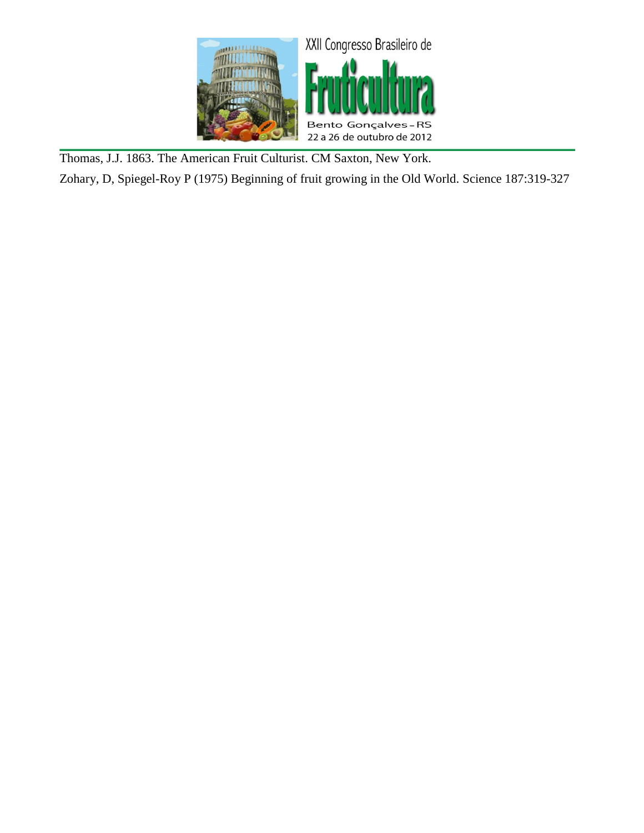

Thomas, J.J. 1863. The American Fruit Culturist. CM Saxton, New York.

Zohary, D, Spiegel-Roy P (1975) Beginning of fruit growing in the Old World. Science 187:319-327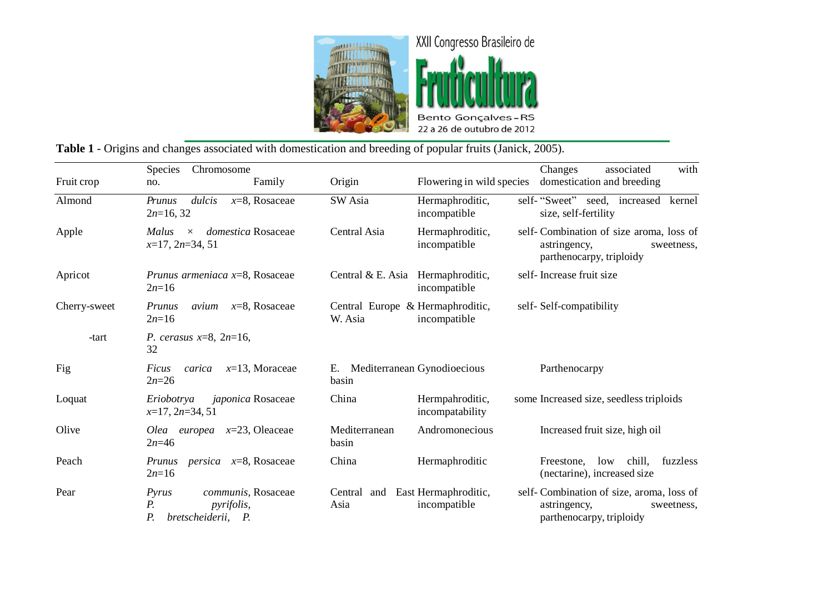

|              | <b>Species</b><br>Chromosome                                                                         |                                         |                                                   | with<br>Changes<br>associated                                                                      |
|--------------|------------------------------------------------------------------------------------------------------|-----------------------------------------|---------------------------------------------------|----------------------------------------------------------------------------------------------------|
| Fruit crop   | Family<br>no.                                                                                        | Origin                                  | Flowering in wild species                         | domestication and breeding                                                                         |
| Almond       | dulcis<br>$x=8$ , Rosaceae<br>Prunus<br>$2n=16, 32$                                                  | SW Asia                                 | Hermaphroditic,<br>incompatible                   | self-"Sweet" seed, increased<br>kernel<br>size, self-fertility                                     |
| Apple        | domestica Rosaceae<br>Malus<br>$\times$<br>$x=17$ , $2n=34$ , 51                                     | Central Asia                            | Hermaphroditic,<br>incompatible                   | self-Combination of size aroma, loss of<br>astringency,<br>sweetness,<br>parthenocarpy, triploidy  |
| Apricot      | Prunus armeniaca $x=8$ , Rosaceae<br>$2n=16$                                                         |                                         | Central & E. Asia Hermaphroditic,<br>incompatible | self-Increase fruit size                                                                           |
| Cherry-sweet | $x=8$ , Rosaceae<br>Prunus<br>avium<br>$2n=16$                                                       | W. Asia                                 | Central Europe & Hermaphroditic,<br>incompatible  | self-Self-compatibility                                                                            |
| -tart        | P. cerasus $x=8$ , $2n=16$ ,<br>32                                                                   |                                         |                                                   |                                                                                                    |
| Fig          | <i>carica</i> $x=13$ , Moraceae<br>Ficus<br>$2n=26$                                                  | E. Mediterranean Gynodioecious<br>basin |                                                   | Parthenocarpy                                                                                      |
| Loquat       | Eriobotrya<br><i>japonica</i> Rosaceae<br>$x=17, 2n=34, 51$                                          | China                                   | Hermpahroditic,<br>incompatability                | some Increased size, seedless triploids                                                            |
| Olive        | Olea europea $x=23$ , Oleaceae<br>$2n=46$                                                            | Mediterranean<br>basin                  | Andromonecious                                    | Increased fruit size, high oil                                                                     |
| Peach        | <i>persica</i> $x=8$ , Rosaceae<br><i>Prunus</i><br>$2n=16$                                          | China                                   | Hermaphroditic                                    | chill,<br>fuzzless<br>Freestone.<br>low<br>(nectarine), increased size                             |
| Pear         | communis, Rosaceae<br>Pyrus<br>$P_{\cdot}$<br><i>pyrifolis,</i><br>$P_{\cdot}$<br>bretscheiderii, P. | Central<br>Asia                         | and East Hermaphroditic,<br>incompatible          | self-Combination of size, aroma, loss of<br>astringency,<br>sweetness,<br>parthenocarpy, triploidy |

# **Table 1** - Origins and changes associated with domestication and breeding of popular fruits (Janick, 2005).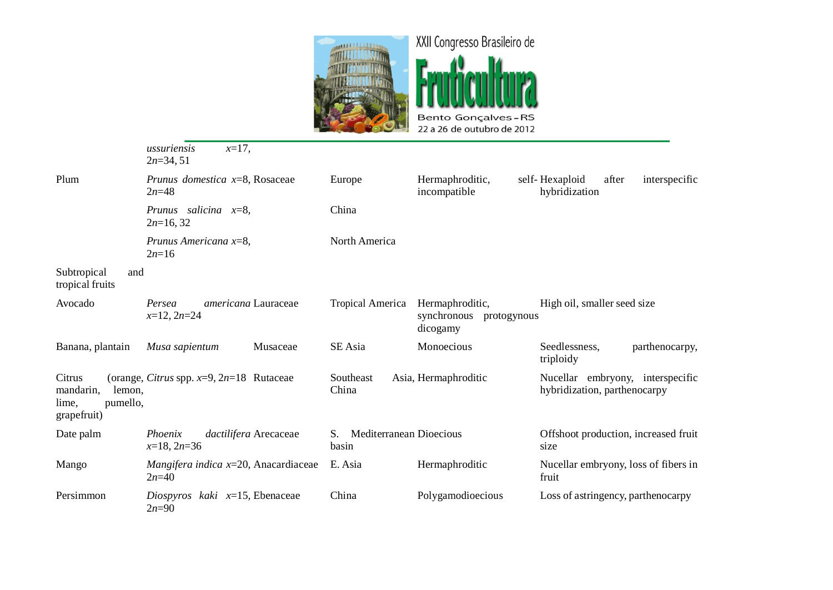

|                                                                   | $x=17$ ,<br>ussuriensis<br>$2n=34, 51$                              |                                        |                                                           |                                                                  |
|-------------------------------------------------------------------|---------------------------------------------------------------------|----------------------------------------|-----------------------------------------------------------|------------------------------------------------------------------|
| Plum                                                              | Prunus domestica $x=8$ , Rosaceae<br>$2n = 48$                      | Europe                                 | Hermaphroditic,<br>incompatible                           | self-Hexaploid<br>after<br>interspecific<br>hybridization        |
|                                                                   | Prunus salicina $x=8$ ,<br>$2n=16, 32$                              | China                                  |                                                           |                                                                  |
|                                                                   | Prunus Americana x=8,<br>$2n=16$                                    | North America                          |                                                           |                                                                  |
| Subtropical<br>and<br>tropical fruits                             |                                                                     |                                        |                                                           |                                                                  |
| Avocado                                                           | americana Lauraceae<br>Persea<br>$x=12$ , $2n=24$                   | Tropical America                       | Hermaphroditic,<br>synchronous<br>protogynous<br>dicogamy | High oil, smaller seed size                                      |
| Banana, plantain                                                  | Musaceae<br>Musa sapientum                                          | SE Asia                                | Monoecious                                                | Seedlessness,<br>parthenocarpy,<br>triploidy                     |
| Citrus<br>mandarin,<br>lemon,<br>pumello,<br>lime,<br>grapefruit) | (orange, Citrus spp. $x=9$ , $2n=18$ Rutaceae                       | Southeast<br>China                     | Asia, Hermaphroditic                                      | Nucellar embryony, interspecific<br>hybridization, parthenocarpy |
| Date palm                                                         | dactilifera Arecaceae<br>Phoenix<br>$x=18, 2n=36$                   | Mediterranean Dioecious<br>S.<br>basin |                                                           | Offshoot production, increased fruit<br>size                     |
| Mango                                                             | <i>Mangifera indica <math>x=20</math>, Anacardiaceae</i><br>$2n=40$ | E. Asia                                | Hermaphroditic                                            | Nucellar embryony, loss of fibers in<br>fruit                    |
| Persimmon                                                         | Diospyros kaki $x=15$ , Ebenaceae<br>$2n=90$                        | China                                  | Polygamodioecious                                         | Loss of astringency, parthenocarpy                               |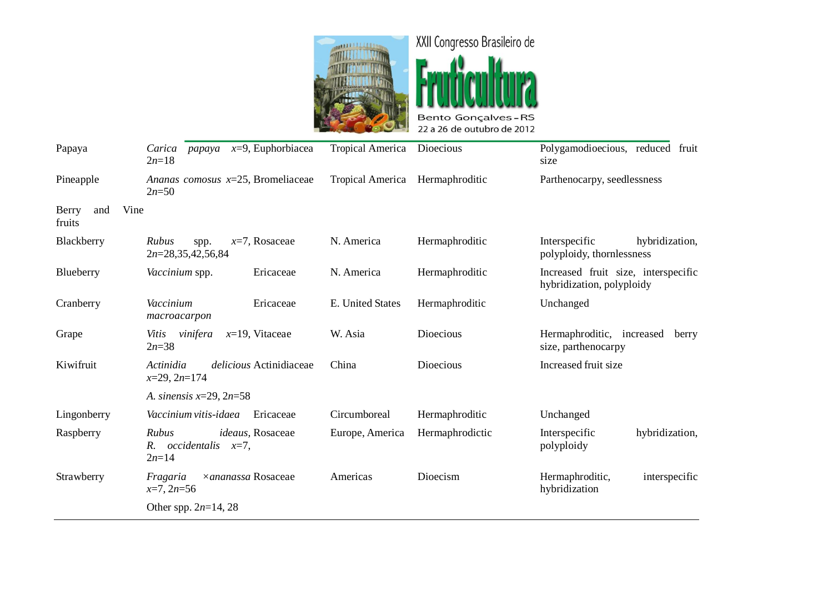



| Papaya                         | <i>papaya</i> $x=9$ , Euphorbiacea<br>Carica                      | <b>Tropical America</b>         | Dioecious       | Polygamodioecious, reduced fruit                                 |
|--------------------------------|-------------------------------------------------------------------|---------------------------------|-----------------|------------------------------------------------------------------|
|                                | $2n=18$                                                           |                                 |                 | size                                                             |
| Pineapple                      | Ananas comosus $x=25$ , Bromeliaceae<br>$2n = 50$                 | Tropical America Hermaphroditic |                 | Parthenocarpy, seedlessness                                      |
| Vine<br>Berry<br>and<br>fruits |                                                                   |                                 |                 |                                                                  |
| Blackberry                     | Rubus<br>$x=7$ , Rosaceae<br>spp.<br>$2n=28,35,42,56,84$          | N. America                      | Hermaphroditic  | Interspecific<br>hybridization,<br>polyploidy, thornlessness     |
| Blueberry                      | Ericaceae<br>Vaccinium spp.                                       | N. America                      | Hermaphroditic  | Increased fruit size, interspecific<br>hybridization, polyploidy |
| Cranberry                      | Ericaceae<br>Vaccinium<br>macroacarpon                            | E. United States                | Hermaphroditic  | Unchanged                                                        |
| Grape                          | Vitis<br>vinifera<br>$x=19$ , Vitaceae<br>$2n = 38$               | W. Asia                         | Dioecious       | Hermaphroditic, increased<br>berry<br>size, parthenocarpy        |
| Kiwifruit                      | Actinidia<br>delicious Actinidiaceae<br>$x=29, 2n=174$            | China                           | Dioecious       | Increased fruit size                                             |
|                                | A. sinensis $x=29$ , $2n=58$                                      |                                 |                 |                                                                  |
| Lingonberry                    | Vaccinium vitis-idaea<br>Ericaceae                                | Circumboreal                    | Hermaphroditic  | Unchanged                                                        |
| Raspberry                      | Rubus<br>ideaus, Rosaceae<br>$R.$ occidentalis $x=7$ ,<br>$2n=14$ | Europe, America                 | Hermaphrodictic | hybridization,<br>Interspecific<br>polyploidy                    |
| Strawberry                     | ×ananassa Rosaceae<br>Fragaria<br>$x=7, 2n=56$                    | Americas                        | Dioecism        | Hermaphroditic,<br>interspecific<br>hybridization                |
|                                | Other spp. $2n=14$ , 28                                           |                                 |                 |                                                                  |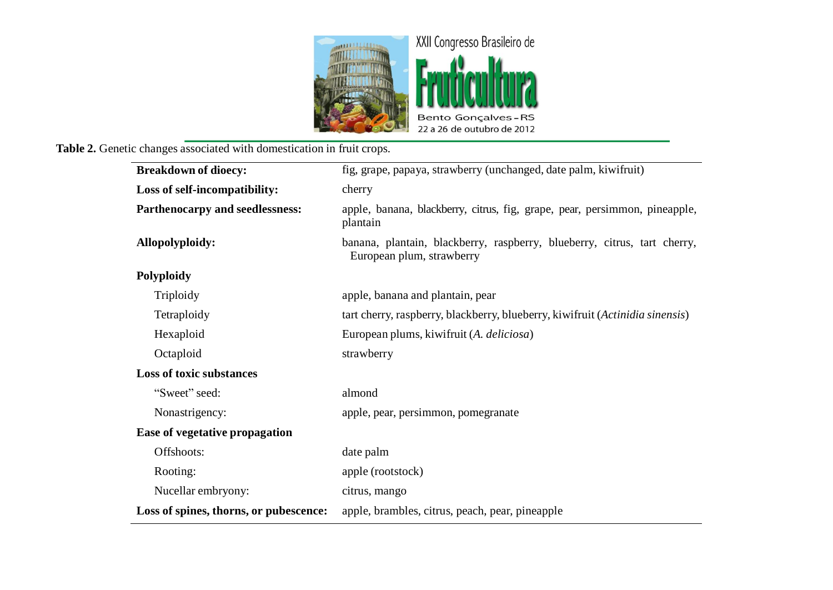

# **Table 2.** Genetic changes associated with domestication in fruit crops.

| <b>Breakdown of dioecy:</b>            | fig, grape, papaya, strawberry (unchanged, date palm, kiwifruit)                                      |  |  |
|----------------------------------------|-------------------------------------------------------------------------------------------------------|--|--|
| Loss of self-incompatibility:          | cherry                                                                                                |  |  |
| Parthenocarpy and seedlessness:        | apple, banana, blackberry, citrus, fig, grape, pear, persimmon, pineapple,<br>plantain                |  |  |
| Allopolyploidy:                        | banana, plantain, blackberry, raspberry, blueberry, citrus, tart cherry,<br>European plum, strawberry |  |  |
| Polyploidy                             |                                                                                                       |  |  |
| Triploidy                              | apple, banana and plantain, pear                                                                      |  |  |
| Tetraploidy                            | tart cherry, raspberry, blackberry, blueberry, kiwifruit (Actinidia sinensis)                         |  |  |
| Hexaploid                              | European plums, kiwifruit (A. deliciosa)                                                              |  |  |
| Octaploid                              | strawberry                                                                                            |  |  |
| <b>Loss of toxic substances</b>        |                                                                                                       |  |  |
| "Sweet" seed:                          | almond                                                                                                |  |  |
| Nonastrigency:                         | apple, pear, persimmon, pomegranate                                                                   |  |  |
| Ease of vegetative propagation         |                                                                                                       |  |  |
| Offshoots:                             | date palm                                                                                             |  |  |
| Rooting:                               | apple (rootstock)                                                                                     |  |  |
| Nucellar embryony:                     | citrus, mango                                                                                         |  |  |
| Loss of spines, thorns, or pubescence: | apple, brambles, citrus, peach, pear, pineapple                                                       |  |  |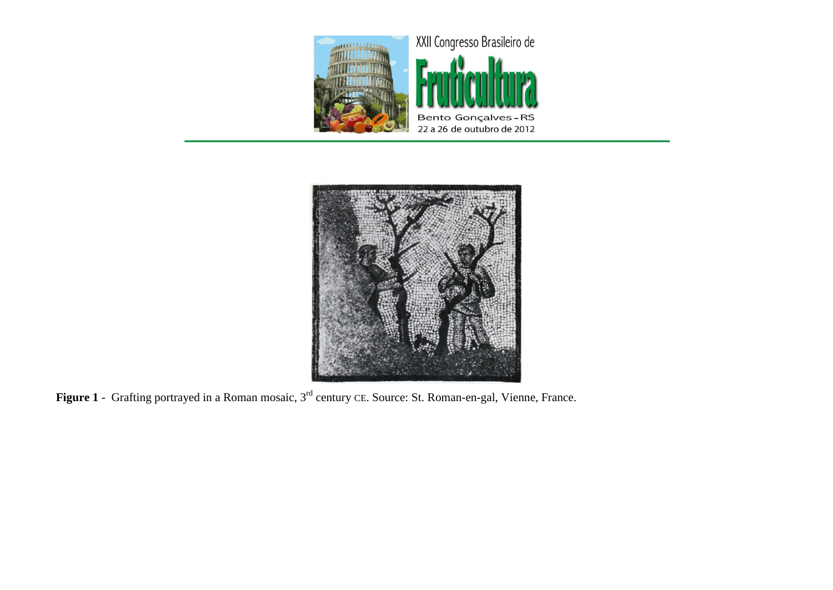



**Figure 1** - Grafting portrayed in a Roman mosaic, 3rd century CE. Source: St. Roman-en-gal, Vienne, France.